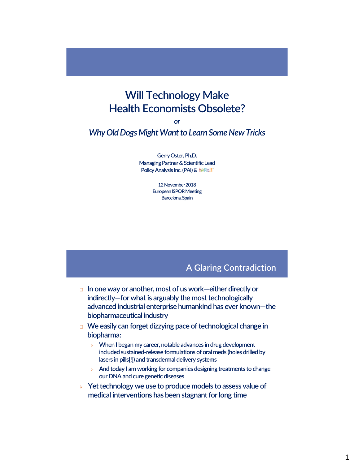# **Will Technology Make Health Economists Obsolete?**

*or*

*Why Old Dogs Might Want to Learn Some New Tricks*

**Gerry Oster, Ph.D. Managing Partner & Scientific Lead Policy Analysis Inc. (PAI) & heRo3** 

> **12 November 2018 European ISPOR Meeting Barcelona, Spain**

#### A Glaring Contradiction

- **In one way or another, most of us work—either directly or indirectly—for what is arguably the most technologically advanced industrial enterprise humankind has ever known—the biopharmaceutical industry**
- **We easily can forget dizzying pace of technological change in biopharma:**
	- **When I began my career, notable advances in drug development included sustained-release formulations of oral meds (holes drilled by lasers in pills[!]) and transdermal delivery systems**
	- **And today I am working for companies designing treatments to change our DNA and cure genetic diseases**
- **Yet technology we use to produce models to assess value of medical interventions has been stagnant for long time**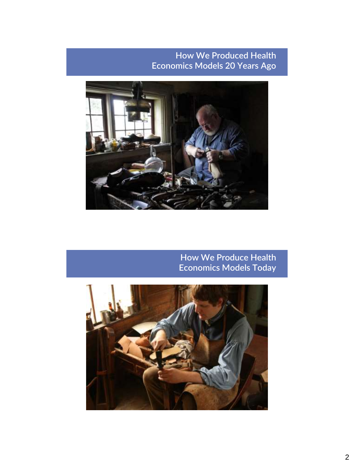## How We Produced Health Economics Models 20 Years Ago



## How We Produce Health Economics Models Today

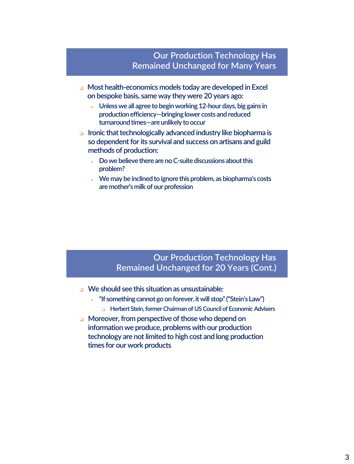## Our Production Technology Has Remained Unchanged for Many Years

- **Most health-economics models today are developed in Excel on bespoke basis, same way they were 20 years ago:**
	- **Unless we all agree to begin working 12-hour days, big gains in production efficiency—bringing lower costs and reduced turnaround times—are unlikely to occur**
- **Ironic that technologically advanced industry like biopharma is so dependent for its survival and success on artisans and guild methods of production:**
	- **Do we believe there are no C-suite discussions about this problem?**
	- **We may be inclined to ignore this problem, as biopharma's costs are mother's milk of our profession**

#### Our Production Technology Has Remained Unchanged for 20 Years (Cont.)

- **We should see this situation as unsustainable***:*
	- **"If something cannot go on forever, it will stop" ("Stein's Law")**
		- **Herbert Stein, former Chairman of US Council of Economic Advisers**
- **Moreover, from perspective of those who depend on information we produce, problems with our production technology are not limited to high cost and long production times for our work products**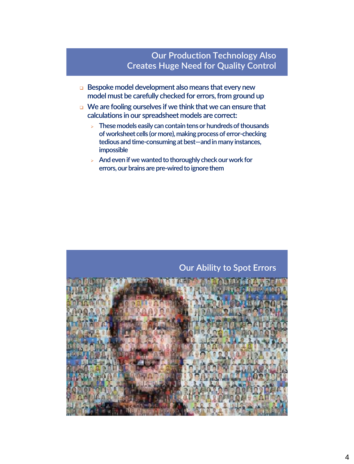## Our Production Technology Also Creates Huge Need for Quality Control

- **Bespoke model development also means that every new model must be carefully checked for errors, from ground up**
- **We are fooling ourselves if we think that we can ensure that calculations in our spreadsheet models are correct:**
	- **These models easily can contain tens or hundreds of thousands of worksheet cells (or more), making process of error-checking tedious and time-consuming at best—and in many instances, impossible**
	- **And even if we wanted to thoroughly check our work for errors, our brains are pre-wired to ignore them**

## Our Ability to Spot Errors

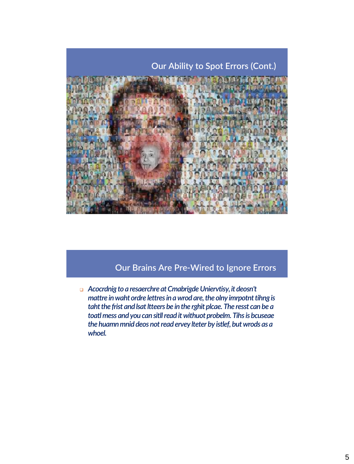

## Our Brains Are Pre-Wired to Ignore Errors

 *Acocrdnig to a resaerchre at Cmabrigde Uniervtisy, it deosn't mattre* in waht ordre lettres in a wrod are, the olny imrpotnt tihng is *taht the frist and lsat ltteers be in the rghit plcae. The resst can be a* toatl mess and you can sitll read it withuot probelm. Tihs is bcuseae *the huamnmnid deos not read ervey lteter by istlef, but wrods as a whoel.*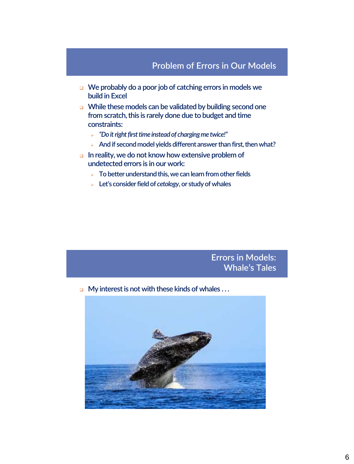#### Problem of Errors in Our Models

- **We probably do a poor job of catching errors in models we build in Excel**
- **While these models can be validated by building second one from scratch, this is rarely done due to budget and time constraints:**
	- *"Do it right first time instead of charging me twice!"*
	- **And if second model yields different answer than first, then what?**
- **In reality, we do not know how extensive problem of undetected errors is in our work:**
	- **To better understand this, we can learn from other fields**
	- **Let's consider field of** *cetology***, or study of whales**

#### Errors in Models: Whale's Tales

**My interest is not with these kinds of whales ...** 

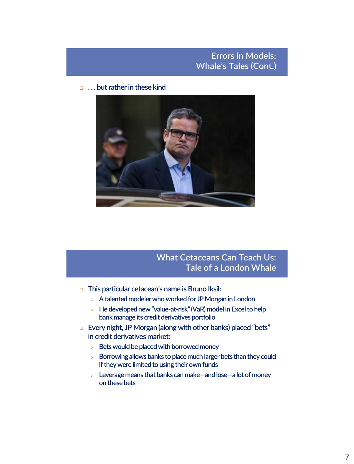## Errors in Models: Whale's Tales (Cont.)

**. . . but rather in these kind**



## What Cetaceans Can Teach Us: Tale of a London Whale

- **This particular cetacean's name is Bruno Iksil:**
	- **A talented modeler who worked for JP Morgan in London**
	- **He developed new "value-at-risk" (VaR) model in Excel to help bank manage its credit derivatives portfolio**
- **Every night, JP Morgan (along with other banks) placed "bets" in credit derivatives market:**
	- **Bets would be placed with borrowed money**
	- **Borrowing allows banks to place much larger bets than they could if they were limited to using their own funds**
	- **Leverage means that banks can make—and lose—a lot of money on these bets**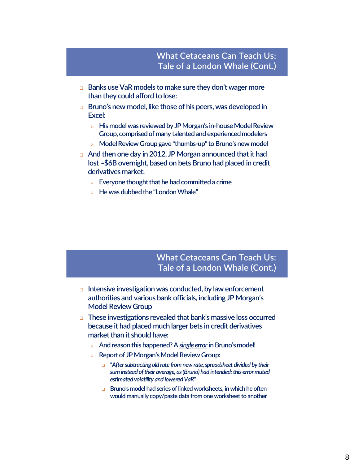- **Banks use VaR models to make sure they don't wager more than they could afford to lose:**
- **Bruno's new model, like those of his peers, was developed in Excel:**
	- **His model was reviewed by JP Morgan's in-house Model Review Group, comprised of many talented and experienced modelers**
	- **Model Review Group gave "thumbs-up" to Bruno's new model**
- **And then one day in 2012, JP Morgan announced that it had lost ~\$6B overnight, based on bets Bruno had placed in credit derivatives market:**
	- **Everyone thought that he had committed a crime**
	- **He was dubbed the "London Whale"**

#### What Cetaceans Can Teach Us: Tale of a London Whale (Cont.)

- **Intensive investigation was conducted, by law enforcement authorities and various bank officials, including JP Morgan's Model Review Group**
- **These investigations revealed that bank's massive loss occurred because it had placed much larger bets in credit derivatives market than it should have:**
	- **And reason this happened? A** *single error***in Bruno's model!**
	- **Report of JP Morgan's Model Review Group:**
		- **"***After subtracting old rate from new rate, spreadsheet divided by their sum instead of their average, as (Bruno) had intended; this error muted estimated volatility and lowered VaR***"**
		- **Bruno's model had series of linked worksheets, in which he often would manually copy/paste data from one worksheet to another**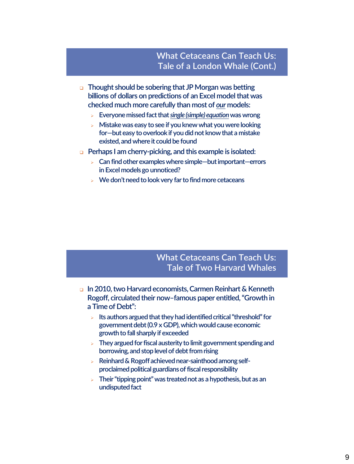#### What Cetaceans Can Teach Us: Tale of a London Whale (Cont.)

- **Thought should be sobering that JP Morgan was betting billions of dollars on predictions of an Excel model that was checked much more carefully than most of** *our* **models:**
	- **Everyone missed fact that** *single (simple) equation***was wrong**
	- **Mistake was easy to see if you knew what you were looking for—but easy to overlook if you did not know that a mistake existed, and where it could be found**
- **Perhaps I am cherry-picking, and this example is isolated:**
	- **Can find other examples where simple—but important—errors in Excel models go unnoticed?**
	- **We don't need to look very far to find more cetaceans**

## What Cetaceans Can Teach Us: Tale of Two Harvard Whales

- **In 2010, two Harvard economists, Carmen Reinhart & Kenneth Rogoff, circulated their now–famous paper entitled, "Growth in a Time of Debt":**
	- **Its authors argued that they had identified critical "threshold" for government debt (0.9 x GDP), which would cause economic growth to fall sharply if exceeded**
	- **They argued for fiscal austerity to limit government spending and borrowing, and stop level of debt from rising**
	- **Reinhard & Rogoff achieved near-sainthood among selfproclaimed political guardians of fiscal responsibility**
	- **Their "tipping point" was treated not as a hypothesis, but as an undisputed fact**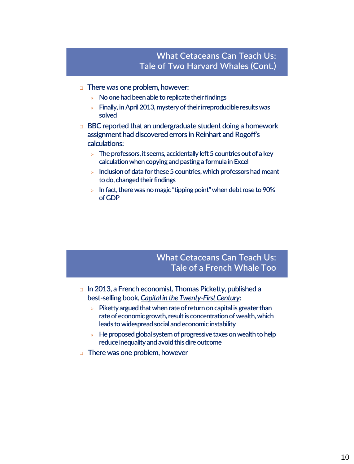#### What Cetaceans Can Teach Us: Tale of Two Harvard Whales (Cont.)

- **There was one problem, however:**
	- **No one had been able to replicate their findings**
	- **Finally, in April 2013, mystery of their irreproducible results was solved**
- **BBC reported that an undergraduate student doing a homework assignment had discovered errors in Reinhart and Rogoff's calculations:**
	- **The professors, it seems, accidentally left 5 countries out of a key calculation when copying and pasting a formula in Excel**
	- **Inclusion of data for these 5 countries, which professors had meant to do, changed their findings**
	- **In fact, there was no magic "tipping point" when debt rose to 90% of GDP**

## What Cetaceans Can Teach Us: Tale of a French Whale Too

- **In 2013, a French economist, Thomas Picketty, published a best-selling book,** *Capital in the Twenty-First Century***:**
	- **Piketty argued that when rate of return on capital is greater than rate of economic growth, result is concentration of wealth, which leads to widespread social and economic instability**
	- **He proposed global system of progressive taxes on wealth to help reduce inequality and avoid this dire outcome**
- **There was one problem, however**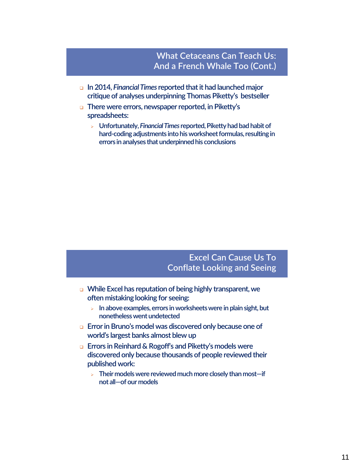## What Cetaceans Can Teach Us: And a French Whale Too (Cont.)

- **In 2014,** *Financial Times* **reported that it had launched major critique of analyses underpinning Thomas Piketty's bestseller**
- **There were errors, newspaper reported, in Piketty's spreadsheets:**
	- **Unfortunately,** *Financial Times* **reported, Piketty had bad habit of hard-coding adjustments into his worksheet formulas, resulting in errors in analyses that underpinned his conclusions**

## Excel Can Cause Us To Conflate Looking and Seeing

- **While Excel has reputation of being highly transparent, we often mistaking looking for seeing:**
	- **In above examples, errors in worksheets were in plain sight, but nonetheless went undetected**
- **Error in Bruno's model was discovered only because one of world's largest banks almost blew up**
- **Errors in Reinhard & Rogoff's and Piketty's models were discovered only because thousands of people reviewed their published work:**
	- **Their models were reviewed much more closely than most—if not all—of our models**